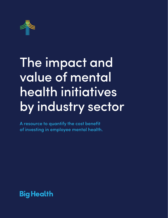

## The impact and value of mental health initiatives by industry sector

A resource to quantify the cost benefit of investing in employee mental health.

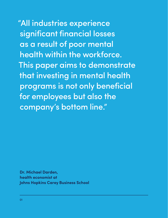"All industries experience significant financial losses as a result of poor mental health within the workforce. This paper aims to demonstrate that investing in mental health programs is not only beneficial for employees but also the company's bottom line."

**[Dr. Michael Darden,](https://carey.jhu.edu/faculty/faculty-directory/michael-darden-phd) health economist at Johns Hopkins Carey Business School**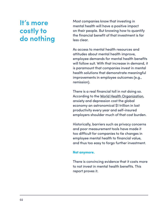## **It's more costly to do nothing**

Most companies know that investing in mental health will have a positive impact on their people. But knowing how to quantify the financial benefit of that investment is far less clear.

As access to mental health resources and attitudes about mental health improve, employee demands for mental health benefits will follow suit. With that increase in demand, it is paramount that companies invest in mental health solutions that demonstrate meaningful improvements in employee outcomes (e.g., remission).

There is a real financial toll in not doing so. According to the [World Health Organization](https://www.who.int/news/item/13-04-2016-investing-in-treatment-for-depression-and-anxiety-leads-to-fourfold-return), anxiety and depression cost the global economy an astronomical \$1 trillion in lost productivity every year and self-insured employers shoulder much of that cost burden.

Historically, barriers such as privacy concerns and poor measurement tools have made it too difficult for companies to tie changes in employee mental health to financial value, and thus too easy to forgo further investment.

#### **Not anymore.**

There is convincing evidence that it costs more to not invest in mental health benefits. This report proves it.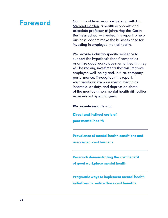## **Foreword**

Our clinical team  $-$  in partnership with Dr. [Michael Darden,](https://carey.jhu.edu/faculty/faculty-directory/michael-darden-phd) a health economist and associate professor at Johns Hopkins Carey Business School — created this report to help business leaders make the business case for investing in employee mental health.

We provide industry-specific evidence to support the hypothesis that if companies prioritize good workplace mental health, they will be making investments that will improve employee well-being and, in turn, company performance. Throughout this report, we operationalize poor mental health as insomnia, anxiety, and depression, three of the most common mental health difficulties experienced by employees.

#### **We provide insights into:**

**Direct and indirect costs of poor mental health**

**Prevalence of mental health conditions and associated cost burdens**

**Research demonstrating the cost benefit of good workplace mental health**

**Pragmatic ways to implement mental health initiatives to realize those cost benefits**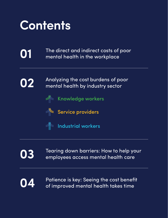

[The direct and indirect costs of poor](#page-5-0)  mental health in the workplace



**01**

[Analyzing the cost burdens of poor](#page-9-0) mental health by industry sector



[Knowledge workers](#page-11-0)



[Service providers](#page-16-0)



 $\mathbb{R}$  [Industrial workers](#page-22-0)



[Tearing down barriers: How to help your](#page-27-0)  employees access mental health care



[Patience is key: Seeing the cost benefit](#page-33-0) of improved mental health takes time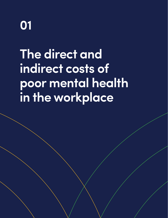<span id="page-5-0"></span>

**The direct and indirect costs of poor mental health in the workplace**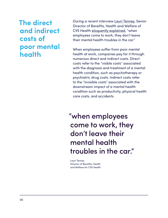## **The direct and indirect costs of poor mental health**

During a recent interview [Lauri Tenney](https://www.linkedin.com/in/lauri-tenney-3a90564/), Senior Director of Benefits, Health and Welfare of CVS Health [eloquently explained](https://blog.bighealth.com/cvs-healths-commitment-to-mental-health), "when employees come to work, they don't leave their mental health troubles in the car."

When employees suffer from poor mental health at work, companies pay for it through numerous direct and indirect costs. Direct costs refer to the "visible costs" associated with the diagnosis and treatment of a mental health condition, such as psychotherapy or psychiatric drug costs. Indirect costs refer to the "invisible costs" associated with the downstream impact of a mental health condition such as productivity, physical health care costs, and accidents.

"when employees come to work, they don't leave their mental health troubles in the car."

[Lauri Tenney](https://www.linkedin.com/in/lauri-tenney-3a90564/) Director of Benefits, Health and Welfare for CVS Health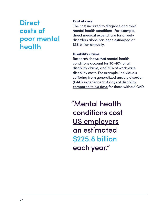## **Direct costs of poor mental health**

#### **Cost of care**

The cost incurred to diagnose and treat mental health conditions. For example, direct medical expenditure for anxiety disorders alone has been estimated at [\\$38 billion](https://pubmed.ncbi.nlm.nih.gov/24135257/) annually.

#### **Disability claims**

[Research shows](https://www2.deloitte.com/content/dam/Deloitte/ca/Documents/about-deloitte/ca-en-about-blueprint-for-workplace-mental-health-final-aoda.pdf) that mental health conditions account for 30-40% of all disability claims, and 70% of workplace disability costs. For example, individuals suffering from generalized anxiety disorder (GAD) experience [21.4 days of disability](https://pubmed.ncbi.nlm.nih.gov/17146763/)  [compared to 7.8 days](https://pubmed.ncbi.nlm.nih.gov/17146763/) for those without GAD.

"Mental health conditions [cost](https://jamanetwork.com/journals/jama/fullarticle/196767) [US employers](https://jamanetwork.com/journals/jama/fullarticle/196767) an estimated \$225.8 billion each year."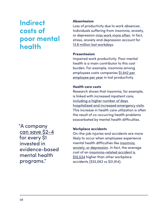## **Indirect costs of poor mental health**

"A company [can save \\$2-4](https://www.thelancet.com/journals/lanpsy/article/PIIS2215-0366(16)30024-4/fulltext) for every \$1 invested in evidence-based mental health programs."

#### **Absenteeism**

Loss of productivity due to work absences. Individuals suffering from insomnia, anxiety, or depression [miss work more often](https://www.sciencedirect.com/science/article/abs/pii/S016503271930028X). In fact, stress, anxiety and depression account for [13.8 million lost workdays](https://academic.oup.com/occmed/article/58/8/522/1466121?login=true).

#### **Presenteeism**

Impaired work productivity. Poor mental health is a main contributor to this cost burden. For example, insomnia among employees costs companies [\\$1,942 per](https://www.ncbi.nlm.nih.gov/pmc/articles/PMC3065254/)  [employee per year](https://www.ncbi.nlm.nih.gov/pmc/articles/PMC3065254/) in lost productivity.

#### **Health care costs**

Research shows that insomnia, for example, is linked with increased inpatient care, [including a higher number of days](https://www.psychiatrist.com/pcc/neurologic/neurology/burden-chronic-sleep-maintenance-insomnia-characterized/)  [hospitalized and increased emergency visits](https://www.psychiatrist.com/pcc/neurologic/neurology/burden-chronic-sleep-maintenance-insomnia-characterized/). This increase in health care utilization is often the result of co-occurring health problems exacerbated by mental health difficulties.

#### **Workplace accidents**

On-the-job injuries and accidents are more likely to occur when employees experience mental health difficulties like [insomnia](https://pubmed.ncbi.nlm.nih.gov/23026955/), [anxiety, or depression.](https://link.springer.com/article/10.1007/s00420-010-0555-x) In fact, the average cost of an [insomnia-related accident is](https://pubmed.ncbi.nlm.nih.gov/23026955/)  [\\$10,534](https://pubmed.ncbi.nlm.nih.gov/23026955/) higher than other workplace accidents (\$32,062 vs \$21,914).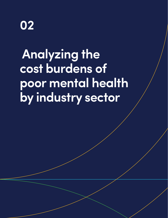<span id="page-9-0"></span>

## **Analyzing the cost burdens of poor mental health by industry sector**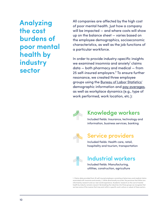**Analyzing the cost burdens of poor mental health by industry sector**

All companies are affected by the high cost of poor mental health. Just how a company will be impacted — and where costs will show up on the balance sheet — varies based on the employee demographics, socioeconomic characteristics, as well as the job functions of a particular workforce.

In order to provide industry-specific insights we examined insomnia and anxiety $\alpha$  claims data — both pharmacy and medical — from 25 self-insured employers.<sup>2</sup> To ensure further resonance, we created three employee groups using the [Bureau of Labor Statistics'](https://www.bls.gov/cps/cpsaat18.htm) demographic information and [pay averages,](https://www.bls.gov/news.release/empsit.t19.htm) as well as workplace dynamics (e.g., type of work performed, work location, etc.):



## Knowledge workers

Included fields: Insurance, technology and information, business services, banking



## Service providers

Included fields: Health care, retail, hospitality and tourism, transportation



## Industrial workers

Included fields: Manufacturing, utilities, construction, agriculture

1. Claims data provided from 25 self-insured employers consisting of pharmacy and medical claims associated with insomnia and anxiety. 2. While directionally accurate, the personas that follow are informed by research and our real-world experience. Academic research on the cost of mental health by industry remains nascent. By breaking the industries into three groups we recognize that we lose some of the nuance that may exist within a specific work culture or subset of these sectors.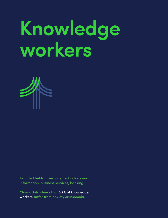# <span id="page-11-0"></span>**Knowledge workers**



**Included fields: Insurance, technology and information, business services, banking**

**Claims data shows that 8.2% of knowledge workers suffer from anxiety or insomnia.**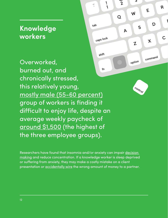## **Knowledge workers**

Overworked, burned out, and  $n<sub>f</sub>$ chronically stressed, this relatively young, [mostly male \(55-60 percent\)](https://www.bls.gov/cps/cpsaat18.htm) group of workers is finding it difficult to enjoy life, despite an average weekly paycheck of [around \\$1,500](https://www.bls.gov/news.release/empsit.t19.htm) (the highest of the three employee groups).

Researchers have found that insomnia and/or anxiety can impair [decision](https://www.ncbi.nlm.nih.gov/pmc/articles/PMC6709269/)  [making](https://www.ncbi.nlm.nih.gov/pmc/articles/PMC6709269/) and reduce concentration. If a knowledge worker is sleep deprived or suffering from anxiety, they may make a costly mistake on a client presentation or [accidentally wire](https://www.cnn.com/2021/02/16/business/citibank-revlon-lawsuit-ruling/index.html) the wrong amount of money to a partner.

 $\frac{8}{2}$ 

 $\overline{O}$ 

A

İ

 $\mathbf{A}$ 

 $\tilde{\cdot}$ 

tab

caps lock

shift

5

 $\mathsf{S}$ 

 $\overline{\mathsf{W}}$ 

 $\mathbf{Z}$ 

option

control

E

D

 $\boldsymbol{\chi}$ 

command

R

 $\mathsf C$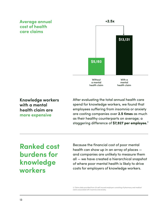#### **Average annual cost of health care claims**



**Knowledge workers with a mental health claim are more expensive**

After evaluating the total annual health care spend for knowledge workers, we found that employees suffering from insomnia or anxiety are costing companies over **2.5 times** as much as their healthy counterparts on average; a staggering difference of **\$7,927 per employee.**³

## **Ranked cost burdens for knowledge workers**

Because the financial cost of poor mental health can show up in an array of places and companies are unlikely to measure them all — we have created a hierarchical snapshot of where poor mental health is likely to drive costs for employers of knowledge workers.

3. Claims data provided from 25 self-insured employers consisting of pharmacy and medical claims associated with insomnia and anxiety.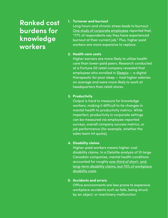## **Ranked cost burdens for knowledge workers**

#### **1. Turnover and burnout**

Long hours and chronic stress leads to burnout. [One study of corporate employees](https://www2.deloitte.com/us/en/pages/about-deloitte/articles/burnout-survey.html) reported that, "77% of respondents say they have experienced burnout at their current job." Plus, higher paid workers are more expensive to replace.

#### **2. Health care costs**

Higher earners are more likely to utilize health care than lower-paid peers. Research conducted at a Fortune 50 retail company revealed that employees who enrolled in [Sleepio](https://www.bighealth.com/sleepio) — a digital therapeutic for poor sleep — had higher salaries on average and were more likely to work at headquarters than retail stores.

#### **3. Productivity**

Output is hard to measure for knowledge workers, making it difficult to tie changes in mental health to productivity metrics. While imperfect, productivity in corporate settings can be measured via employee-reported surveys, overall company success metrics, or job performance (for example, whether the sales team hit quota).

#### **4. Disability claims**

Higher-paid workers means higher-cost disability claims. In a Deloitte analysis of 10 large Canadian companies, mental health conditions accounted for roughly one-third of short- and [long-term disability claims, but 70% of workplace](https://www2.deloitte.com/content/dam/Deloitte/ca/Documents/about-deloitte/ca-en-about-blueprint-for-workplace-mental-health-final-aoda.pdf)  [disability costs](https://www2.deloitte.com/content/dam/Deloitte/ca/Documents/about-deloitte/ca-en-about-blueprint-for-workplace-mental-health-final-aoda.pdf).

#### **5. Accidents and errors**

Office environments are less prone to expensive workplace accidents such as falls, being struck by an object, or machinery malfunction.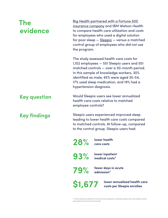## **The evidence**

[Big Health partnered with a Fortune 500](https://blog.bighealth.com/news/health-economic-evaluation-of-sleepio)  [insurance company](https://blog.bighealth.com/news/health-economic-evaluation-of-sleepio) and IBM Watson Health to compare health care utilization and costs for employees who used a digital solution for poor sleep — [Sleepio](https://www.bighealth.com/sleepio) — versus a matched control group of employees who did not use the program.

The study assessed health care costs for 1,102 employees — 551 Sleepio users and 551 matched controls — over a 30-month period. In this sample of knowledge workers, 30% identified as male, 65% were aged 35-54, 17% used sleep medication, and 19% had a hypertension diagnosis.

### **Key question**

**Key findings**

Would Sleepio users see lower annualized health care costs relative to matched employee controls?

Sleepio users experienced improved sleep leading to lower health care costs compared to matched controls. At follow-up, compared to the control group, Sleepio users had:

**28% lower health care costs**

**93% lower inpatient medical costs⁴**

**79% fewer days in acute admission⁴**

**\$1,677 lower annualized health care costs per Sleepio enrollee**

4. Claims data provided from 25 self-insured employers consisting of pharmacy and medical claims associated with insomnia and anxiety.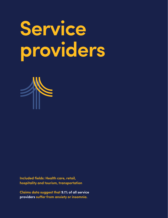# <span id="page-16-0"></span>**Service providers**



**Included fields: Health care, retail, hospitality and tourism, transportation**

**Claims data suggest that 9.1% of all service providers suffer from anxiety or insomnia.**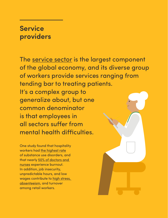## **Service providers**

The [service sector](https://link.springer.com/article/10.1007/s00191-019-00649-4) is the largest component of the global economy, and its diverse group of workers provide services ranging from tending bar to treating patients. It's a complex group to generalize about, but one common denominator is that employees in all sectors suffer from mental health difficulties.

One study found that hospitality workers had [the highest rate](https://www.samhsa.gov/data/sites/default/files/report_1959/ShortReport-1959.pdf) of substance use disorders, and that nearly [50% of doctors and](https://www.cureus.com/articles/16398-burnout-in-united-states-healthcare-professionals-a-narrative-review)  [nurses](https://www.cureus.com/articles/16398-burnout-in-united-states-healthcare-professionals-a-narrative-review) experience burnout. In addition, job insecurity, unpredictable hours, and low wages contribute to [high stress,](https://www.erudit.org/en/journals/ri/1900-v1-n1-ri893/010923ar/abstract/)  [absenteeism](https://www.erudit.org/en/journals/ri/1900-v1-n1-ri893/010923ar/abstract/), and turnover among retail workers.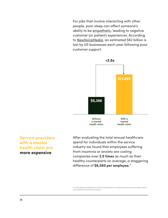For jobs that involve interacting with other people, poor sleep can affect someone's ability to be [empathetic,](https://pubmed.ncbi.nlm.nih.gov/17765011/) leading to negative customer (or patient) experiences. According to [NewVoiceMedia](https://www.newvoicemedia.com/blog/the-62-billion-customer-service-scared-away-infographic), an estimated \$62 billion is lost by US businesses each year following poor customer support.



**Service providers with a mental health claim are more expensive**

After evaluating the total annual healthcare spend for individuals within the service industry we found that employees suffering from insomnia or anxiety are costing companies over **2.5 times** as much as their healthy counterparts on average; a staggering difference of **\$8,580 per employee.**⁵

5. Claims data provided from 25 self-insured employers consisting of pharmacy and medical claims associated with insomnia and anxiety.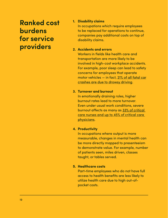## **Ranked cost burdens for service providers**

#### **1. Disability claims**

In occupations which require employees to be replaced for operations to continue, companies pay additional costs on top of disability claims.

#### **2. Accidents and errors**

Workers in fields like health care and transportation are more likely to be involved in high-cost workplace accidents. For example, poor sleep can lead to safety concerns for employees that operate motor vehicles — in fact, [21% of all fatal car](https://pubmed.ncbi.nlm.nih.gov/22269499/) [crashes are due to drowsy driving](https://pubmed.ncbi.nlm.nih.gov/22269499/).

#### **3. Turnover and burnout**

In emotionally draining roles, higher burnout rates lead to more turnover. Even under usual work conditions, severe burnout affects as many as [33% of critical](https://www.thelancet.com/journals/lanres/article/PIIS2213-2600(21)00068-0/fulltext)  [care nurses and up to 45% of critical care](https://www.thelancet.com/journals/lanres/article/PIIS2213-2600(21)00068-0/fulltext)  [physicians.](https://www.thelancet.com/journals/lanres/article/PIIS2213-2600(21)00068-0/fulltext)

#### **4. Productivity**

In occupations where output is more measurable, changes in mental health can be more directly mapped to presenteeism to demonstrate value. For example, number of patients seen, miles driven, classes taught, or tables served.

#### **5. Healthcare costs**

Part-time employees who do not have full access to health benefits are less likely to utilize health care due to high out-ofpocket costs.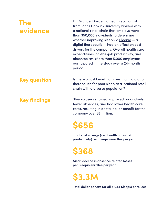## **The evidence**

[Dr. Michael Darden](https://carey.jhu.edu/faculty/faculty-directory/michael-darden-phd), a health economist from Johns Hopkins University worked with a national retail chain that employs more than 350,000 individuals to determine whether improving sleep via [Sleepio](https://www.bighealth.com/sleepio) - a digital therapeutic — had an effect on cost drivers for the company: Overall health care expenditures, on-the-job productivity, and absenteeism. More than 5,000 employees participated in the study over a 24-month period.

### **Key question**

**Key findings**

Is there a cost benefit of investing in a digital therapeutic for poor sleep at a national retail chain with a diverse population?

Sleepio users showed improved productivity, fewer absences, and had lower health care costs, resulting in a total dollar benefit for the company over \$3 million.

## **\$656**

**Total cost savings (i.e., health care and productivity) per Sleepio enrollee per year**

**\$368**

**Mean decline in absence-related losses per Sleepio enrollee per year**

**\$3.3M**

**Total dollar benefit for all 5,044 Sleepio enrollees**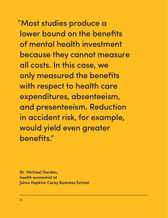"Most studies produce a lower bound on the benefits of mental health investment because they cannot measure all costs. In this case, we only measured the benefits with respect to health care expenditures, absenteeism, and presenteeism. Reduction in accident risk, for example, would yield even greater benefits."

**Dr. Michael Darden, health economist at Johns Hopkins Carey Business School**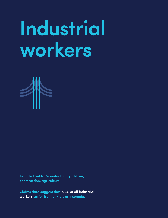# <span id="page-22-0"></span>**Industrial workers**



**Included fields: Manufacturing, utilities, construction, agriculture**

**Claims data suggest that 8.6% of all industrial workers suffer from anxiety or insomnia.**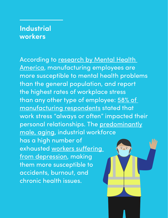## **Industrial workers**

According to [research by Mental Health](https://mhanational.org/sites/default/files/Mind%20the%20Workplace%20-%20MHA%20Workplace%20Health%20Survey%202017%20FINAL.pdf)  [America](https://mhanational.org/sites/default/files/Mind%20the%20Workplace%20-%20MHA%20Workplace%20Health%20Survey%202017%20FINAL.pdf), manufacturing employees are more susceptible to mental health problems than the general population, and report the highest rates of workplace stress than any other type of employee: 58% of [manufacturing respondents](https://mhanational.org/sites/default/files/Mind%20the%20Workplace%20-%20MHA%20Workplace%20Health%20Survey%202017%20FINAL.pdf) stated that work stress "always or often" impacted their personal relationships. The [predominantly](https://www.bls.gov/cps/cpsaat18.htm) [male, aging,](https://www.bls.gov/cps/cpsaat18.htm) industrial workforce has a high number of exhausted [workers suffering](https://www.ncbi.nlm.nih.gov/pmc/articles/PMC4557731/)   $\overline{\cdot}$  ,  $\overline{\cdot}$ [from depression,](https://www.ncbi.nlm.nih.gov/pmc/articles/PMC4557731/) making them more susceptible to accidents, burnout, and chronic health issues.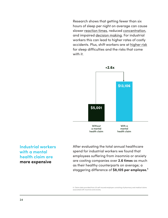Research shows that getting fewer than six hours of sleep per night on average can cause slower [reaction times](https://doi.org/10.1093/sleep/31.5.599), reduced [concentration,](https://onlinelibrary.wiley.com/doi/full/10.1111/j.1365-2869.2004.00414.x) and impaired [decision making](https://www.ncbi.nlm.nih.gov/pmc/articles/PMC6709269/). For industrial workers this can lead to higher rates of costly accidents. Plus, shift workers are at [higher risk](https://journals.plos.org/plosone/article?id=10.1371/journal.pone.0055306) for sleep difficulties and the risks that come with it.



#### **Industrial workers with a mental health claim are more expensive**

After evaluating the total annual healthcare spend for industrial workers we found that employees suffering from insomnia or anxiety are costing companies over **2.6 times** as much as their healthy counterparts on average; a staggering difference of **\$8,105 per employee.**⁶

6. Claims data provided from 25 self-insured employers consisting of pharmacy and medical claims associated with insomnia and anxiety.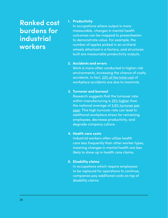## **Ranked cost burdens for industrial workers**

#### **1. Productivity**

In occupations where output is more measurable, changes in mental health outcomes can be mapped to presenteeism to demonstrate value. For example, the number of apples picked in an orchard, wheels attached in a factory, and structures built are measurable productivity outputs.

#### **2. Accidents and errors**

Work is more often conducted in higher-risk environments, increasing the chance of costly accidents. In fact, [23% of the total cost](https://pubmed.ncbi.nlm.nih.gov/23026955/) of workplace accidents are due to insomnia.

#### **3. Turnover and burnout**

Research suggests that the turnover rate within manufacturing is [33% higher](https://www.ame.org/) than the national average of [3.6% turnover per](https://www.bls.gov/news.release/pdf/jolts.pdf)  [year](https://www.bls.gov/news.release/pdf/jolts.pdf). This high turnover rate can lead to additional workplace stress for remaining employees, decrease productivity, and degrade company culture.

#### **4. Health care costs**

Industrial workers often utilize health care less frequently than other worker types, meaning changes in mental health are less likely to show up in health care claims.

#### **5. Disability claims**

In occupations which require employees to be replaced for operations to continue, companies pay additional costs on top of disability claims.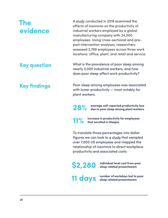## **The evidence**

A [study](https://pubmed.ncbi.nlm.nih.gov/29776626/) conducted in 2018 examined the effects of insomnia on the productivity of industrial workers employed by a global manufacturing company with 24,000 employees. Using cross-sectional and prepost intervention analyses, researchers assessed 2,789 employees across three work locations: office, plant, and retail and service.

**Key question**

**Key findings**

What is the prevalence of poor sleep among nearly 3,000 industrial workers, and how does poor sleep affect work productivity?

Poor sleep among employees was associated with lower productivity — most notably for plant workers.

**28% average self-reported productivity loss due to poor sleep among plant workers**

**11% increase in productivity for employees that enrolled in Sleepio**

To translate those percentages into dollar figures we can look to  $q$  [study](https://www.ncbi.nlm.nih.gov/pmc/articles/PMC3157657/) that sampled over 7,000 US employees and mapped the relationship of insomnia to direct workplace productivity and associated costs:

**\$2,280 individual level cost from poor sleep related presenteeism**

**11 days number of workdays lost to poor sleep related presenteeism**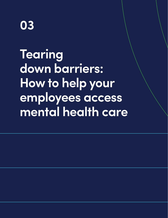<span id="page-27-0"></span>

**Tearing down barriers: How to help your employees access mental health care**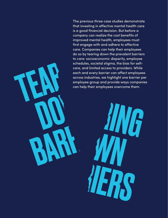do so by tearin<br>to care: socioe<br>schedules, soc<br>care, and limit<br>each and ever<br>across industri<br>employee grou<br>can help their The previous three case studies demonstrate that investing in effective mental health care is a good financial decision. But before a company can realize the cost benefits of improved mental health, employees must first engage with and adhere to effective care. Companies can help their employees do so by tearing down the prevalent barriers to care: socioeconomic disparity, employee schedules, societal stigma, the bias for selfcare, and limited access to providers. While each and every barrier can affect employees across industries, we highlight one barrier per employee group and provide ways companies can help their employees overcome them.

can help their e BARRIE WA OWN RIERS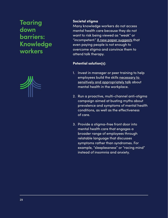## **Tearing down barriers: Knowledge workers**



#### **Societal stigma**

Many knowledge workers do not access mental health care because they do not want to risk being viewed as "weak" or "incompetent." [A new paper suggests](https://www.nber.org/papers/w27711) that even paying people is not enough to overcome stigma and convince them to attend talk therapy.

#### **Potential solution(s)**:

- 1. Invest in manager or peer training to help employees build the skills necessary to [sensitively and appropriately talk](https://blog.bighealth.com/building-mental-health-awareness-together) about mental health in the workplace.
- 2. Run a proactive, multi-channel anti-stigma campaign aimed at busting myths about prevalence and symptoms of mental health conditions, as well as the effectiveness of care.
- 3. Provide a stigma-free front door into mental health care that engages a broader range of employees through relatable language that discusses symptoms rather than syndromes. For example, "sleeplessness" or "racing mind" instead of insomnia and anxiety.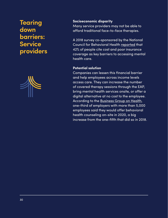## **Tearing down barriers: Service providers**



#### **Socioeconomic disparity**

Many service providers may not be able to afford traditional face-to-face therapies.

A 2018 survey co-sponsored by the National Council for Behavioral Health [reported](https://www.thenationalcouncil.org/press-releases/new-study-reveals-lack-of-access-as-root-cause-for-mental-health-crisis-in-america/) that 42% of people cite cost and poor insurance coverage as key barriers to accessing mental health care.

#### **Potential solution**

Companies can lessen this financial barrier and help employees across income levels access care. They can increase the number of covered therapy sessions through the EAP, bring mental health services onsite, or offer a digital alternative at no cost to the employee. According to the [Business Group on Health,](https://www.businessgrouphealth.org/en/who-we-are/newsroom/press-releases/large-us-employers-accelerating-adoption-of-virtual-care-mental-health-services-for-2021) one-third of employers with more than 5,000 employees said they would offer behavioral health counseling on-site in 2020, a big increase from the one-fifth that did so in 2018.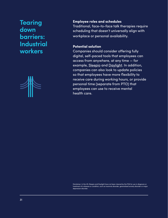## **Tearing down barriers: Industrial workers**



#### **Employee roles and schedules**

Traditional, face-to-face talk therapies require scheduling that doesn't universally align with workplace or personal availability.

#### **Potential solution**

Companies should consider offering fully digital, self-paced tools that employees can access from anywhere, at any time — for example, [Sleepio](https://www.bighealth.com/sleepio) and [Daylight](https://www.bighealth.com/daylight). In addition, companies can also look to update policies so that employees have more flexibility to receive care during working hours, or provide personal time (separate from PTO) that employees can use to receive mental health care.

Disclaimer: In the US, Sleepio and Daylight have not been cleared by the FDA for use in diagnosis or treatment of a disease or condition, such as insomnia disorder, generalized anxiety disorder or major depression disorder.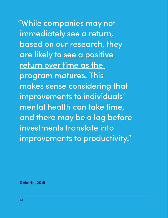"While companies may not immediately see a return, based on our research, they are likely to see a positive [return over time as the](https://www2.deloitte.com/us/en/insights/topics/talent/workplace-mental-health-programs-worker-productivity.html)  [program matures.](https://www2.deloitte.com/us/en/insights/topics/talent/workplace-mental-health-programs-worker-productivity.html) This makes sense considering that improvements to individuals' mental health can take time, and there may be a lag before investments translate into improvements to productivity."

**Deloitte, 2019**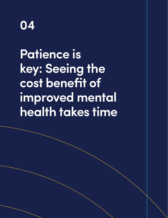<span id="page-33-0"></span>

**Patience is key: Seeing the cost benefit of improved mental health takes time**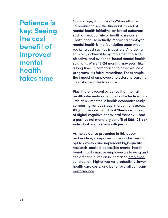**Patience is key: Seeing the cost benefit of improved mental health takes time**

On average, it can take 12-24 months for companies to see the financial impact of mental health initiatives on broad outcomes such as productivity or health care costs. That's because actually improving employee mental health is the foundation upon which realizing cost savings is possible. And doing so is only achievable by implementing safe, effective, and evidence-based mental health solutions. While 12-24 months may seem like a long time, in comparison to other wellness programs, it's fairly immediate. For example, the impact of employee cholesterol programs can take decades to realize.

Plus, there is recent evidence that mental health interventions can be cost effective in as little as six months. A health economics study comparing various sleep interventions across 100,000 people, found that Sleepio — a form of digital cognitive behavioral therapy — had a positive net monetary benefit of **\$681.06 per individual over a six-month period.**

As the evidence presented in this paper makes clear, companies across industries that opt to develop and implement high-quality, research-backed, accessible mental health benefits will improve employee well-being and see a financial return in increased [employee](https://www.sciencedirect.com/science/article/pii/S0929664609600450)  [satisfaction,](https://www.sciencedirect.com/science/article/pii/S0929664609600450) [higher worker productivity](https://pubmed.ncbi.nlm.nih.gov/29776626/), [lower](https://go.bighealth.com/report/health-economic-evaluation)  [health care costs](https://go.bighealth.com/report/health-economic-evaluation), and [better overall company](https://www2.deloitte.com/content/dam/Deloitte/ca/Documents/about-deloitte/ca-en-about-blueprint-for-workplace-mental-health-final-aoda.pdf)  [performance.](https://www2.deloitte.com/content/dam/Deloitte/ca/Documents/about-deloitte/ca-en-about-blueprint-for-workplace-mental-health-final-aoda.pdf)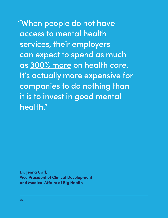"When people do not have access to mental health services, their employers can expect to spend as much as [300% more](https://www2.deloitte.com/content/dam/Deloitte/ca/Documents/about-deloitte/ca-en-about-blueprint-for-workplace-mental-health-final-aoda.pdf) on health care. It's actually more expensive for companies to do nothing than it is to invest in good mental health."

**Dr. Jenna Carl, Vice President of Clinical Development and Medical Affairs at Big Health**